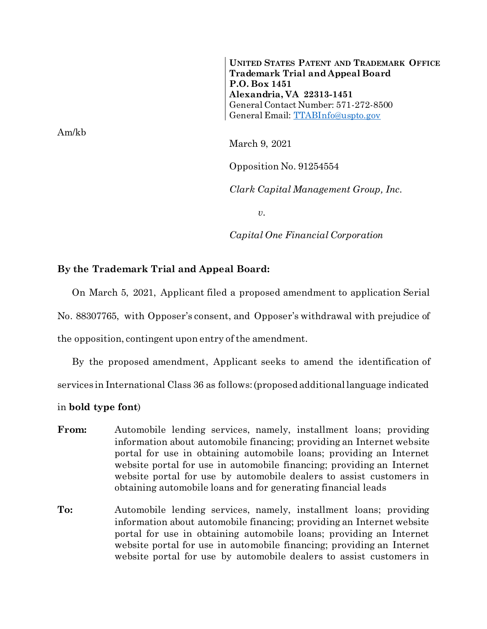**UNITED STATES PATENT AND TRADEMARK OFFICE Trademark Trial and Appeal Board P.O. Box 1451 Alexandria, VA 22313-1451** General Contact Number: 571-272-8500 General Email: [TTABInfo@uspto.gov](mailto:TTABInfo@uspto.gov)

March 9, 2021

Opposition No. 91254554

*Clark Capital Management Group, Inc.*

*v.*

*Capital One Financial Corporation*

## **By the Trademark Trial and Appeal Board:**

On March 5, 2021, Applicant filed a proposed amendment to application Serial No. 88307765, with Opposer's consent, and Opposer's withdrawal with prejudice of the opposition, contingent upon entry of the amendment.

By the proposed amendment, Applicant seeks to amend the identification of services in International Class 36 as follows: (proposed additional language indicated

in **bold type font**)

- From: Automobile lending services, namely, installment loans; providing information about automobile financing; providing an Internet website portal for use in obtaining automobile loans; providing an Internet website portal for use in automobile financing; providing an Internet website portal for use by automobile dealers to assist customers in obtaining automobile loans and for generating financial leads
- **To:** Automobile lending services, namely, installment loans; providing information about automobile financing; providing an Internet website portal for use in obtaining automobile loans; providing an Internet website portal for use in automobile financing; providing an Internet website portal for use by automobile dealers to assist customers in

Am/kb